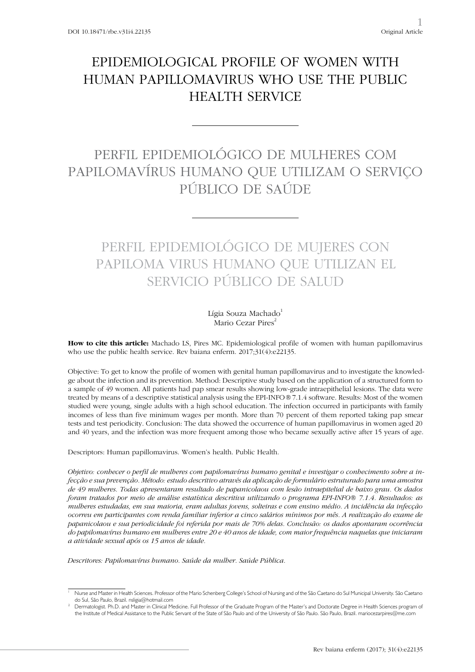# EPIDEMIOLOGICAL PROFILE OF WOMEN WITH HUMAN PAPILLOMAVIRUS WHO USE THE PUBLIC HEALTH SERVICE

## PERFIL EPIDEMIOLÓGICO DE MULHERES COM PAPILOMAVÍRUS HUMANO QUE UTILIZAM O SERVIÇO PÚBLICO DE SAÚDE

# PERFIL EPIDEMIOLÓGICO DE MUJERES CON PAPILOMA VIRUS HUMANO QUE UTILIZAN EL SERVICIO PÚBLICO DE SALUD

Lígia Souza Machado<sup>1</sup> Mario Cezar Pires<sup>2</sup>

**How to cite this article:** Machado LS, Pires MC. Epidemiological profile of women with human papillomavirus who use the public health service. Rev baiana enferm. 2017;31(4):e22135.

Objective: To get to know the profile of women with genital human papillomavirus and to investigate the knowledge about the infection and its prevention. Method: Descriptive study based on the application of a structured form to a sample of 49 women. All patients had pap smear results showing low-grade intraepithelial lesions. The data were treated by means of a descriptive statistical analysis using the EPI-INFO*®* 7.1.4 software. Results: Most of the women studied were young, single adults with a high school education. The infection occurred in participants with family incomes of less than five minimum wages per month. More than 70 percent of them reported taking pap smear tests and test periodicity. Conclusion: The data showed the occurrence of human papillomavirus in women aged 20 and 40 years, and the infection was more frequent among those who became sexually active after 15 years of age.

Descriptors: Human papillomavirus. Women's health. Public Health.

*Objetivo: conhecer o perfil de mulheres com papilomavírus humano genital e investigar o conhecimento sobre a infecção e sua prevenção. Método: estudo descritivo através da aplicação de formulário estruturado para uma amostra de 49 mulheres. Todas apresentaram resultado de papanicolaou com lesão intraepitelial de baixo grau. Os dados foram tratados por meio de análise estatística descritiva utilizando o programa EPI-INFO® 7.1.4. Resultados: as mulheres estudadas, em sua maioria, eram adultas jovens, solteiras e com ensino médio. A incidência da infecção ocorreu em participantes com renda familiar inferior a cinco salários mínimos por mês. A realização do exame de papanicolaou e sua periodicidade foi referida por mais de 70% delas. Conclusão: os dados apontaram ocorrência do papilomavírus humano em mulheres entre 20 e 40 anos de idade, com maior frequência naquelas que iniciaram a atividade sexual após os 15 anos de idade.*

*Descritores: Papilomavírus humano. Saúde da mulher. Saúde Pública.*

Nurse and Master in Health Sciences. Professor of the Mario Schenberg College's School of Nursing and of the São Caetano do Sul Municipal University. São Caetano do Sul, São Paulo, Brazil. nsligia@hotmail.com

<sup>2</sup> Dermatologist. Ph.D. and Master in Clinical Medicine. Full Professor of the Graduate Program of the Master's and Doctorate Degree in Health Sciences program of the Institute of Medical Assistance to the Public Servant of the State of São Paulo and of the University of São Paulo. São Paulo, Brazil. mariocezarpires@me.com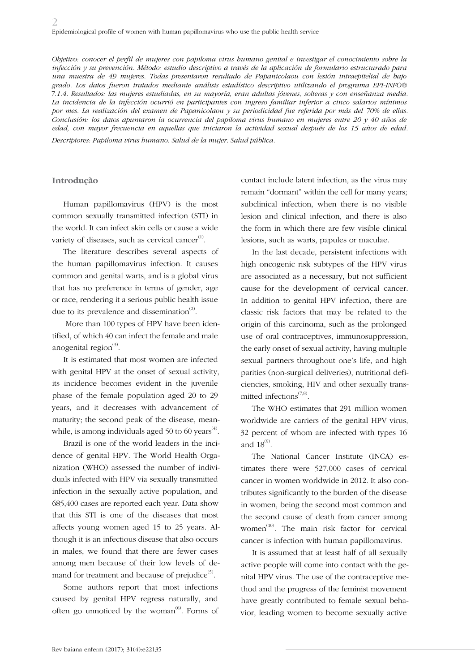*Objetivo: conocer el perfil de mujeres con papiloma virus humano genital e investigar el conocimiento sobre la infección y su prevención. Método: estudio descriptivo a través de la aplicación de formulario estructurado para una muestra de 49 mujeres. Todas presentaron resultado de Papanicolaou con lesión intraepitelial de bajo grado. Los datos fueron tratados mediante análisis estadístico descriptivo utilizando el programa EPI-INFO® 7.1.4. Resultados: las mujeres estudiadas, en su mayoría, eran adultas jóvenes, solteras y con enseñanza media. La incidencia de la infección ocurrió en participantes con ingreso familiar inferior a cinco salarios mínimos por mes. La realización del examen de Papanicolaou y su periodicidad fue referida por más del 70% de ellas. Conclusión: los datos apuntaron la ocurrencia del papiloma virus humano en mujeres entre 20 y 40 años de edad, con mayor frecuencia en aquellas que iniciaron la actividad sexual después de los 15 años de edad. Descriptores: Papiloma virus humano. Salud de la mujer. Salud pública.*

**Introdução**

Human papillomavirus (HPV) is the most common sexually transmitted infection (STI) in the world. It can infect skin cells or cause a wide variety of diseases, such as cervical cancer $(1)$ .

The literature describes several aspects of the human papillomavirus infection. It causes common and genital warts, and is a global virus that has no preference in terms of gender, age or race, rendering it a serious public health issue due to its prevalence and dissemination $^{(2)}$ .

 More than 100 types of HPV have been identified, of which 40 can infect the female and male anogenital region $^{(3)}$ .

It is estimated that most women are infected with genital HPV at the onset of sexual activity, its incidence becomes evident in the juvenile phase of the female population aged 20 to 29 years, and it decreases with advancement of maturity; the second peak of the disease, meanwhile, is among individuals aged 50 to 60 years<sup> $(4)$ </sup>.

Brazil is one of the world leaders in the incidence of genital HPV. The World Health Organization (WHO) assessed the number of individuals infected with HPV via sexually transmitted infection in the sexually active population, and 685,400 cases are reported each year. Data show that this STI is one of the diseases that most affects young women aged 15 to 25 years. Although it is an infectious disease that also occurs in males, we found that there are fewer cases among men because of their low levels of demand for treatment and because of prejudice $^{(5)}$ .

Some authors report that most infections caused by genital HPV regress naturally, and often go unnoticed by the woman $^{(6)}$ . Forms of contact include latent infection, as the virus may remain "dormant" within the cell for many years; subclinical infection, when there is no visible lesion and clinical infection, and there is also the form in which there are few visible clinical lesions, such as warts, papules or maculae.

In the last decade, persistent infections with high oncogenic risk subtypes of the HPV virus are associated as a necessary, but not sufficient cause for the development of cervical cancer. In addition to genital HPV infection, there are classic risk factors that may be related to the origin of this carcinoma, such as the prolonged use of oral contraceptives, immunosuppression, the early onset of sexual activity, having multiple sexual partners throughout one's life, and high parities (non-surgical deliveries), nutritional deficiencies, smoking, HIV and other sexually transmitted infections $(7,8)$ .

The WHO estimates that 291 million women worldwide are carriers of the genital HPV virus, 32 percent of whom are infected with types 16 and  $18^{(9)}$ .

The National Cancer Institute (INCA) estimates there were 527,000 cases of cervical cancer in women worldwide in 2012. It also contributes significantly to the burden of the disease in women, being the second most common and the second cause of death from cancer among women<sup>(10)</sup>. The main risk factor for cervical cancer is infection with human papillomavirus.

It is assumed that at least half of all sexually active people will come into contact with the genital HPV virus. The use of the contraceptive method and the progress of the feminist movement have greatly contributed to female sexual behavior, leading women to become sexually active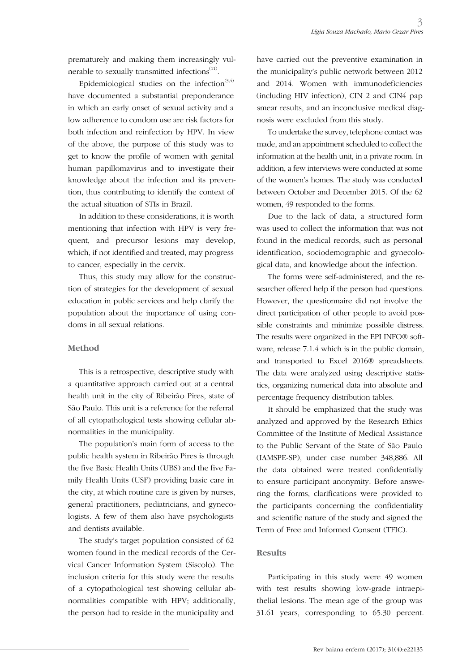prematurely and making them increasingly vulnerable to sexually transmitted infections<sup>(11)</sup>.

Epidemiological studies on the infection<sup> $(3,4)$ </sup> have documented a substantial preponderance in which an early onset of sexual activity and a low adherence to condom use are risk factors for both infection and reinfection by HPV. In view of the above, the purpose of this study was to get to know the profile of women with genital human papillomavirus and to investigate their knowledge about the infection and its prevention, thus contributing to identify the context of the actual situation of STIs in Brazil.

In addition to these considerations, it is worth mentioning that infection with HPV is very frequent, and precursor lesions may develop, which, if not identified and treated, may progress to cancer, especially in the cervix.

Thus, this study may allow for the construction of strategies for the development of sexual education in public services and help clarify the population about the importance of using condoms in all sexual relations.

### **Method**

This is a retrospective, descriptive study with a quantitative approach carried out at a central health unit in the city of Ribeirão Pires, state of São Paulo. This unit is a reference for the referral of all cytopathological tests showing cellular abnormalities in the municipality.

The population's main form of access to the public health system in Ribeirão Pires is through the five Basic Health Units (UBS) and the five Family Health Units (USF) providing basic care in the city, at which routine care is given by nurses, general practitioners, pediatricians, and gynecologists. A few of them also have psychologists and dentists available.

The study's target population consisted of 62 women found in the medical records of the Cervical Cancer Information System (Siscolo). The inclusion criteria for this study were the results of a cytopathological test showing cellular abnormalities compatible with HPV; additionally, the person had to reside in the municipality and

have carried out the preventive examination in the municipality's public network between 2012 and 2014. Women with immunodeficiencies (including HIV infection), CIN 2 and CIN4 pap smear results, and an inconclusive medical diagnosis were excluded from this study.

To undertake the survey, telephone contact was made, and an appointment scheduled to collect the information at the health unit, in a private room. In addition, a few interviews were conducted at some of the women's homes. The study was conducted between October and December 2015. Of the 62 women, 49 responded to the forms.

Due to the lack of data, a structured form was used to collect the information that was not found in the medical records, such as personal identification, sociodemographic and gynecological data, and knowledge about the infection.

The forms were self-administered, and the researcher offered help if the person had questions. However, the questionnaire did not involve the direct participation of other people to avoid possible constraints and minimize possible distress. The results were organized in the EPI INFO® software, release 7.1.4 which is in the public domain, and transported to Excel 2016® spreadsheets. The data were analyzed using descriptive statistics, organizing numerical data into absolute and percentage frequency distribution tables.

It should be emphasized that the study was analyzed and approved by the Research Ethics Committee of the Institute of Medical Assistance to the Public Servant of the State of São Paulo (IAMSPE-SP), under case number 348,886. All the data obtained were treated confidentially to ensure participant anonymity. Before answering the forms, clarifications were provided to the participants concerning the confidentiality and scientific nature of the study and signed the Term of Free and Informed Consent (TFIC).

### **Results**

Participating in this study were 49 women with test results showing low-grade intraepithelial lesions. The mean age of the group was 31.61 years, corresponding to 65.30 percent.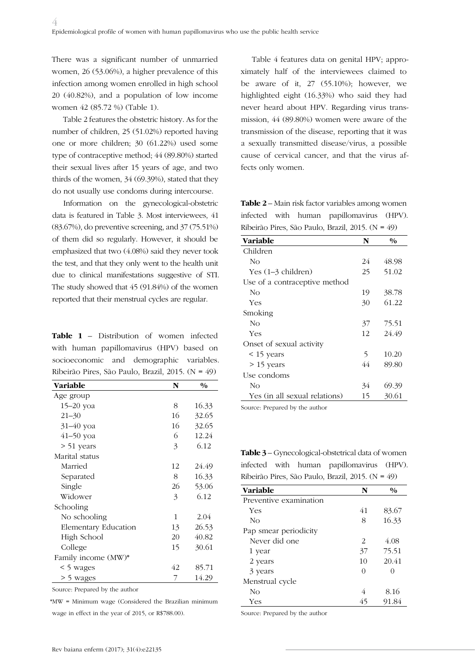There was a significant number of unmarried women, 26 (53.06%), a higher prevalence of this infection among women enrolled in high school 20 (40.82%), and a population of low income women 42 (85.72 %) (Table 1).

Table 2 features the obstetric history. As for the number of children, 25 (51.02%) reported having one or more children; 30 (61.22%) used some type of contraceptive method; 44 (89.80%) started their sexual lives after 15 years of age, and two thirds of the women, 34 (69.39%), stated that they do not usually use condoms during intercourse.

Information on the gynecological-obstetric data is featured in Table 3. Most interviewees, 41 (83.67%), do preventive screening, and 37 (75.51%) of them did so regularly. However, it should be emphasized that two (4.08%) said they never took the test, and that they only went to the health unit due to clinical manifestations suggestive of STI. The study showed that 45 (91.84%) of the women reported that their menstrual cycles are regular.

**Table 1** – Distribution of women infected with human papillomavirus (HPV) based on socioeconomic and demographic variables. Ribeirão Pires, São Paulo, Brazil, 2015. (N = 49)

| Variable             | N  | $\frac{0}{0}$ |
|----------------------|----|---------------|
| Age group            |    |               |
| 15-20 yoa            | 8  | 16.33         |
| $21 - 30$            | 16 | 32.65         |
| 31-40 уоа            | 16 | 32.65         |
| 41-50 yoa            | 6  | 12.24         |
| > 51 years           | 3  | 6.12          |
| Marital status       |    |               |
| Married              | 12 | 24.49         |
| Separated            | 8  | 16.33         |
| Single               | 26 | 53.06         |
| Widower              | 3  | 6.12          |
| Schooling            |    |               |
| No schooling         | 1  | 2.04          |
| Elementary Education | 13 | 26.53         |
| High School          | 20 | 40.82         |
| College              | 15 | 30.61         |
| Family income (MW)*  |    |               |
| < 5 wages            | 42 | 85.71         |
| > 5 wages            | 7  | 14.29         |

Source: Prepared by the author

\*MW = Minimum wage (Considered the Brazilian minimum

wage in effect in the year of 2015, or R\$788.00).

Table 4 features data on genital HPV; approximately half of the interviewees claimed to be aware of it, 27 (55.10%); however, we highlighted eight (16.33%) who said they had never heard about HPV. Regarding virus transmission, 44 (89.80%) women were aware of the transmission of the disease, reporting that it was a sexually transmitted disease/virus, a possible cause of cervical cancer, and that the virus affects only women.

**Table 2** – Main risk factor variables among women infected with human papillomavirus (HPV). Ribeirão Pires, São Paulo, Brazil, 2015. (N = 49)

| Variable                      | N  | $\frac{0}{0}$ |
|-------------------------------|----|---------------|
| Children                      |    |               |
| No                            | 24 | 48.98         |
| Yes $(1-3 \text{ children})$  | 25 | 51.02         |
| Use of a contraceptive method |    |               |
| No                            | 19 | 38.78         |
| Yes                           | 30 | 61.22         |
| Smoking                       |    |               |
| No                            | 37 | 75.51         |
| Yes                           | 12 | 24.49         |
| Onset of sexual activity      |    |               |
| < 15 years                    | 5  | 10.20         |
| $> 15$ years                  | 44 | 89.80         |
| Use condoms                   |    |               |
| No                            | 34 | 69.39         |
| Yes (in all sexual relations) | 15 | 30.61         |

Source: Prepared by the author

**Table 3** – Gynecological-obstetrical data of women infected with human papillomavirus (HPV). Ribeirão Pires, São Paulo, Brazil, 2015. (N = 49)

| <b>Variable</b>        | N  | $\frac{0}{0}$ |
|------------------------|----|---------------|
| Preventive examination |    |               |
| Yes                    | 41 | 83.67         |
| No                     | 8  | 16.33         |
| Pap smear periodicity  |    |               |
| Never did one          | 2  | 4.08          |
| 1 year                 | 37 | 75.51         |
| 2 years                | 10 | 20.41         |
| 3 years                |    |               |
| Menstrual cycle        |    |               |
| No                     | 4  | 8.16          |
| Yes                    | 45 | 91.84         |

Source: Prepared by the author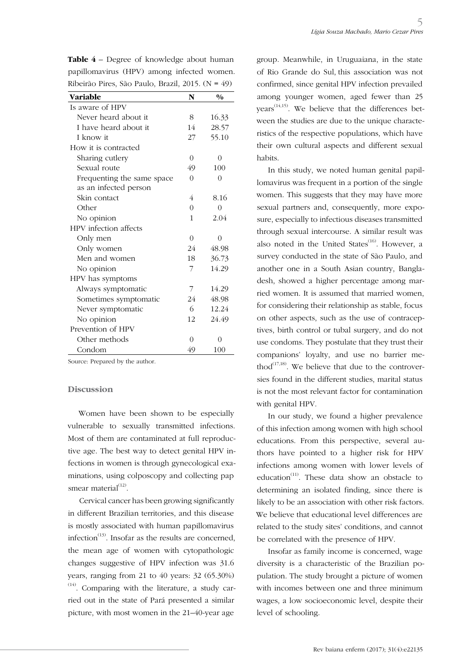| Ribeirão Pires, São Paulo, Brazil, 2015. (N = $49$ ) |                |               |
|------------------------------------------------------|----------------|---------------|
| <b>Variable</b>                                      | N              | $\frac{0}{0}$ |
| Is aware of HPV                                      |                |               |
| Never heard about it                                 | 8              | 16.33         |
| I have heard about it                                | 14             | 28.57         |
| I know it                                            | 27             | 55.10         |
| How it is contracted                                 |                |               |
| Sharing cutlery                                      | $\overline{0}$ | 0             |
| Sexual route                                         | 49             | 100           |
| Frequenting the same space                           | $\theta$       | $\Omega$      |
| as an infected person                                |                |               |
| Skin contact                                         | 4              | 8.16          |
| Other                                                | $\theta$       | $\Omega$      |
| No opinion                                           | 1              | 2.04          |
| HPV infection affects                                |                |               |
| Only men                                             | $\theta$       | $\Omega$      |
| Only women                                           | 24             | 48.98         |
| Men and women                                        | 18             | 36.73         |
| No opinion                                           | 7              | 14.29         |
| HPV has symptoms                                     |                |               |
| Always symptomatic                                   | 7              | 14.29         |
| Sometimes symptomatic                                | 24             | 48.98         |
| Never symptomatic                                    | 6              | 12.24         |
| No opinion                                           | 12             | 24.49         |
| Prevention of HPV                                    |                |               |
| Other methods                                        | $\Omega$       | $\Omega$      |
| Condom                                               | 49             | 100           |
| $11.1$ $11.1$<br>$\mathbf{r}$                        |                |               |

**Table 4** – Degree of knowledge about human papillomavirus (HPV) among infected women. Ribeirão Pires, São Paulo, Brazil, 2015. (N = 49)

Source: Prepared by the author.

#### **Discussion**

Women have been shown to be especially vulnerable to sexually transmitted infections. Most of them are contaminated at full reproductive age. The best way to detect genital HPV infections in women is through gynecological examinations, using colposcopy and collecting pap smear material $^{(12)}$ .

Cervical cancer has been growing significantly in different Brazilian territories, and this disease is mostly associated with human papillomavirus infection<sup>(13)</sup>. Insofar as the results are concerned, the mean age of women with cytopathologic changes suggestive of HPV infection was 31.6 years, ranging from 21 to 40 years: 32 (65.30%) (14). Comparing with the literature, a study carried out in the state of Pará presented a similar picture, with most women in the 21–40-year age

group. Meanwhile, in Uruguaiana, in the state of Rio Grande do Sul, this association was not confirmed, since genital HPV infection prevailed among younger women, aged fewer than 25  $years^{(14,15)}$ . We believe that the differences between the studies are due to the unique characteristics of the respective populations, which have their own cultural aspects and different sexual habits.

In this study, we noted human genital papillomavirus was frequent in a portion of the single women. This suggests that they may have more sexual partners and, consequently, more exposure, especially to infectious diseases transmitted through sexual intercourse. A similar result was also noted in the United States $^{(16)}$ . However, a survey conducted in the state of São Paulo, and another one in a South Asian country, Bangladesh, showed a higher percentage among married women. It is assumed that married women, for considering their relationship as stable, focus on other aspects, such as the use of contraceptives, birth control or tubal surgery, and do not use condoms. They postulate that they trust their companions' loyalty, and use no barrier method $(17,18)$ . We believe that due to the controversies found in the different studies, marital status is not the most relevant factor for contamination with genital HPV.

In our study, we found a higher prevalence of this infection among women with high school educations. From this perspective, several authors have pointed to a higher risk for HPV infections among women with lower levels of education<sup> $(11)$ </sup>. These data show an obstacle to determining an isolated finding, since there is likely to be an association with other risk factors. We believe that educational level differences are related to the study sites' conditions, and cannot be correlated with the presence of HPV.

Insofar as family income is concerned, wage diversity is a characteristic of the Brazilian population. The study brought a picture of women with incomes between one and three minimum wages, a low socioeconomic level, despite their level of schooling.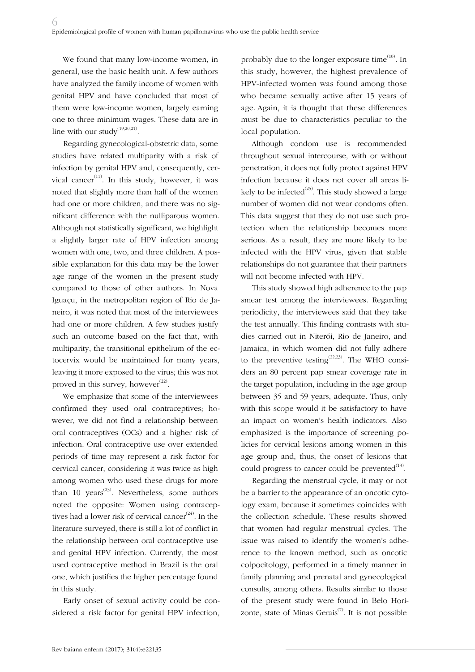We found that many low-income women, in general, use the basic health unit. A few authors have analyzed the family income of women with genital HPV and have concluded that most of them were low-income women, largely earning one to three minimum wages. These data are in line with our study<sup>(19,20,21)</sup>.

Regarding gynecological-obstetric data, some studies have related multiparity with a risk of infection by genital HPV and, consequently, cervical cancer<sup>(11)</sup>. In this study, however, it was noted that slightly more than half of the women had one or more children, and there was no significant difference with the nulliparous women. Although not statistically significant, we highlight a slightly larger rate of HPV infection among women with one, two, and three children. A possible explanation for this data may be the lower age range of the women in the present study compared to those of other authors. In Nova Iguaçu, in the metropolitan region of Rio de Janeiro, it was noted that most of the interviewees had one or more children. A few studies justify such an outcome based on the fact that, with multiparity, the transitional epithelium of the ectocervix would be maintained for many years, leaving it more exposed to the virus; this was not proved in this survey, however $^{(22)}$ .

We emphasize that some of the interviewees confirmed they used oral contraceptives; however, we did not find a relationship between oral contraceptives (OCs) and a higher risk of infection. Oral contraceptive use over extended periods of time may represent a risk factor for cervical cancer, considering it was twice as high among women who used these drugs for more than 10 years<sup> $(23)$ </sup>. Nevertheless, some authors noted the opposite: Women using contraceptives had a lower risk of cervical cancer<sup> $(24)$ </sup>. In the literature surveyed, there is still a lot of conflict in the relationship between oral contraceptive use and genital HPV infection. Currently, the most used contraceptive method in Brazil is the oral one, which justifies the higher percentage found in this study.

Early onset of sexual activity could be considered a risk factor for genital HPV infection, probably due to the longer exposure time $^{(10)}$ . In this study, however, the highest prevalence of HPV-infected women was found among those who became sexually active after 15 years of age. Again, it is thought that these differences must be due to characteristics peculiar to the local population.

Although condom use is recommended throughout sexual intercourse, with or without penetration, it does not fully protect against HPV infection because it does not cover all areas likely to be infected<sup> $(25)$ </sup>. This study showed a large number of women did not wear condoms often. This data suggest that they do not use such protection when the relationship becomes more serious. As a result, they are more likely to be infected with the HPV virus, given that stable relationships do not guarantee that their partners will not become infected with HPV.

This study showed high adherence to the pap smear test among the interviewees. Regarding periodicity, the interviewees said that they take the test annually. This finding contrasts with studies carried out in Niterói, Rio de Janeiro, and Jamaica, in which women did not fully adhere to the preventive testing<sup> $(22,23)$ </sup>. The WHO considers an 80 percent pap smear coverage rate in the target population, including in the age group between 35 and 59 years, adequate. Thus, only with this scope would it be satisfactory to have an impact on women's health indicators. Also emphasized is the importance of screening policies for cervical lesions among women in this age group and, thus, the onset of lesions that could progress to cancer could be prevented $^{(13)}$ .

Regarding the menstrual cycle, it may or not be a barrier to the appearance of an oncotic cytology exam, because it sometimes coincides with the collection schedule. These results showed that women had regular menstrual cycles. The issue was raised to identify the women's adherence to the known method, such as oncotic colpocitology, performed in a timely manner in family planning and prenatal and gynecological consults, among others. Results similar to those of the present study were found in Belo Horizonte, state of Minas Gerais<sup> $(7)$ </sup>. It is not possible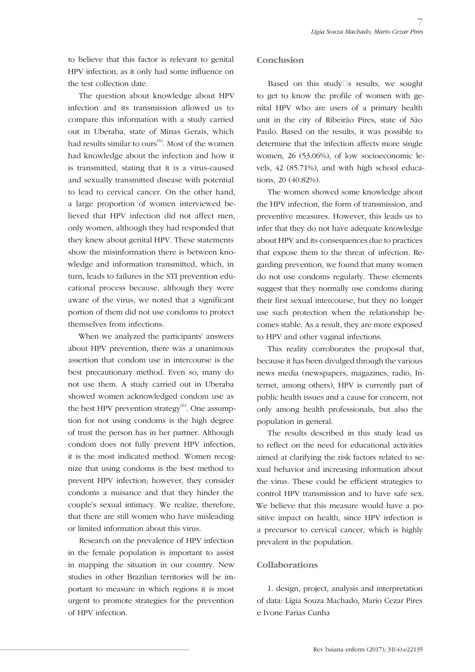to believe that this factor is relevant to genital HPV infection, as it only had some influence on the test collection date.

The question about knowledge about HPV infection and its transmission allowed us to compare this information with a study carried out in Uberaba, state of Minas Gerais, which had results similar to ours<sup>(6)</sup>. Most of the women had knowledge about the infection and how it is transmitted, stating that it is a virus-caused and sexually transmitted disease with potential to lead to cervical cancer. On the other hand, a large proportion of women interviewed believed that HPV infection did not affect men, only women, although they had responded that they knew about genital HPV. These statements show the misinformation there is between knowledge and information transmitted, which, in turn, leads to failures in the STI prevention educational process because, although they were aware of the virus, we noted that a significant portion of them did not use condoms to protect themselves from infections.

When we analyzed the participants' answers about HPV prevention, there was a unanimous assertion that condom use in intercourse is the best precautionary method. Even so, many do not use them. A study carried out in Uberaba showed women acknowledged condom use as the best HPV prevention strategy $^{(6)}$ . One assumption for not using condoms is the high degree of trust the person has in her partner. Although condom does not fully prevent HPV infection, it is the most indicated method. Women recognize that using condoms is the best method to prevent HPV infection; however, they consider condoms a nuisance and that they hinder the couple's sexual intimacy. We realize, therefore, that there are still women who have misleading or limited information about this virus.

Research on the prevalence of HPV infection in the female population is important to assist in mapping the situation in our country. New studies in other Brazilian territories will be important to measure in which regions it is most urgent to promote strategies for the prevention of HPV infection.

#### **Conclusion**

Based on this study $\square$ s results, we sought to get to know the profile of women with genital HPV who are users of a primary health unit in the city of Ribeirão Pires, state of São Paulo. Based on the results, it was possible to determine that the infection affects more single women, 26 (53.06%), of low socioeconomic levels, 42 (85.71%), and with high school educations, 20 (40.82%).

The women showed some knowledge about the HPV infection, the form of transmission, and preventive measures. However, this leads us to infer that they do not have adequate knowledge about HPV and its consequences due to practices that expose them to the threat of infection. Regarding prevention, we found that many women do not use condoms regularly. These elements suggest that they normally use condoms during their first sexual intercourse, but they no longer use such protection when the relationship becomes stable. As a result, they are more exposed to HPV and other vaginal infections.

This reality corroborates the proposal that, because it has been divulged through the various news media (newspapers, magazines, radio, Internet, among others), HPV is currently part of public health issues and a cause for concern, not only among health professionals, but also the population in general.

The results described in this study lead us to reflect on the need for educational activities aimed at clarifying the risk factors related to sexual behavior and increasing information about the virus. These could be efficient strategies to control HPV transmission and to have safe sex. We believe that this measure would have a positive impact on health, since HPV infection is a precursor to cervical cancer, which is highly prevalent in the population.

### **Collaborations**

1. design, project, analysis and interpretation of data: Lígia Souza Machado, Mario Cezar Pires e Ivone Farias Cunha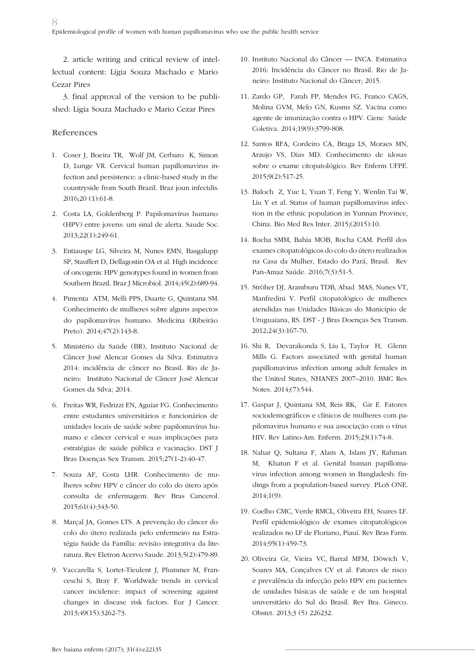2. article writing and critical review of intellectual content: Lígia Souza Machado e Mario Cezar Pires

3. final approval of the version to be published: Lígia Souza Machado e Mario Cezar Pires

### **References**

- 1. Coser J, Boeira TR, Wolf JM, Cerbaro K, Simon D, Lunge VR. Cervical human papillomavirus infection and persistence: a clinic-based study in the countryside from South Brazil. Braz joun infectdis. 2016;20 (1):61-8.
- 2. Costa LA, Goldenberg P. Papilomavírus humano (HPV) entre jovens: um sinal de alerta. Saude Soc. 2013;22(1):249-61.
- 3. Entiauspe LG, Silveira M, Nunes EMN, Basgalupp SP, Stauffert D, Dellagostin OA et al. High incidence of oncogenic HPV genotypes found in women from Southern Brazil. Braz J Microbiol. 2014;45(2):689-94.
- 4. Pimenta ATM, Melli PPS, Duarte G, Quintana SM. Conhecimento de mulheres sobre alguns aspectos do papilomavírus humano. Medicina (Ribeirão Preto). 2014;47(2):143-8.
- 5. Ministério da Saúde (BR), Instituto Nacional de Câncer José Alencar Gomes da Silva. Estimativa 2014: incidência de câncer no Brasil. Rio de Janeiro: Instituto Nacional de Câncer José Alencar Gomes da Silva; 2014.
- 6. Freitas WR, Fedrizzi EN, Aguiar FG. Conhecimento entre estudantes universitários e funcionários de unidades locais de saúde sobre papilomavírus humano e câncer cervical e suas implicações para estratégias de saúde pública e vacinação. DST J Bras Doenças Sex Transm. 2015;27(1-2):40-47.
- 7. Souza AF, Costa LHR. Conhecimento de mulheres sobre HPV e câncer do colo do útero após consulta de enfermagem. Rev Bras Cancerol. 2015;61(4):343-50.
- 8. Marçal JA, Gomes LTS. A prevenção do câncer do colo do útero realizada pelo enfermeiro na Estratégia Saúde da Família: revisão integrativa da literatura. Rev Eletron Acervo Saude. 2013;5(2):479-89.
- 9. Vaccarella S, Lortet-Tieulent J, Plummer M, Franceschi S, Bray F. Worldwide trends in cervical cancer incidence: impact of screening against changes in disease risk factors. Eur J Cancer. 2013;49(15):3262-73.
- 10. Instituto Nacional do Câncer INCA. Estimativa 2016: Incidência do Câncer no Brasil. Rio de Janeiro: Instituto Nacional do Câncer; 2015.
- 11. Zardo GP, Farah FP, Mendes FG, Franco CAGS, Molina GVM, Melo GN, Kusms SZ. Vacina como agente de imunização contra o HPV. Cienc Saúde Coletiva. 2014;19(9):3799-808.
- 12. Santos RFA, Cordeiro CA, Braga LS, Moraes MN, Araujo VS, Dias MD. Conhecimento de idosas sobre o exame citopatológico. Rev Enferm UFPE. 2015;9(2):517-25.
- 13. Baloch Z, Yue L, Yuan T, Feng Y, Wenlin Tai W, Liu Y et al. Status of human papillomavirus infection in the ethnic population in Yunnan Province, China. Bio Med Res Inter. 2015;(2015):10.
- 14. Rocha SMM, Bahia MOB, Rocha CAM. Perfil dos exames citopatológicos do colo do útero realizados na Casa da Mulher, Estado do Pará, Brasil. Rev Pan-Amaz Saúde. 2016;7(3):51-5.
- 15. Ströher DJ, Aramburu TDB, Abad MAS, Nunes VT, Manfredini V. Perfil citopatológico de mulheres atendidas nas Unidades Básicas do Município de Uruguaiana, RS. DST - J Bras Doenças Sex Transm. 2012;24(3):167-70.
- 16. Shi R, Devarakonda S, Liu L, Taylor H, Glenn Mills G. Factors associated with genital human papillomavirus infection among adult females in the United States, NHANES 2007–2010. BMC Res Notes. 2014;(7):544.
- 17. Gaspar J, Quintana SM, Reis RK, Gir E. Fatores sociodemográficos e clínicos de mulheres com papilomavirus humano e sua associação com o vírus HIV. Rev Latino-Am. Enferm. 2015;23(1):74-8.
- 18. Nahar Q, Sultana F, Alam A, Islam JY, Rahman M, Khatun F et al. Genital human papillomavirus infection among women in Bangladesh: findings from a population-based survey. PLoS ONE. 2014;1(9).
- 19. Coelho CMC, Verde RMCL, Oliveira EH, Soares LF. Perfil epidemiológico de exames citopatológicos realizados no LF de Floriano, Piauí. Rev Bras Farm. 2014;95(1):459-73.
- 20. Oliveira Gr, Vieira VC, Barral MFM, Döwich V, Soares MA, Conçalves CV et al. Fatores de risco e prevalência da infecção pelo HPV em pacientes de unidades básicas de saúde e de um hospital universitário do Sul do Brasil. Rev Bra. Gineco. Obstet. 2013;3 (5) 226232.